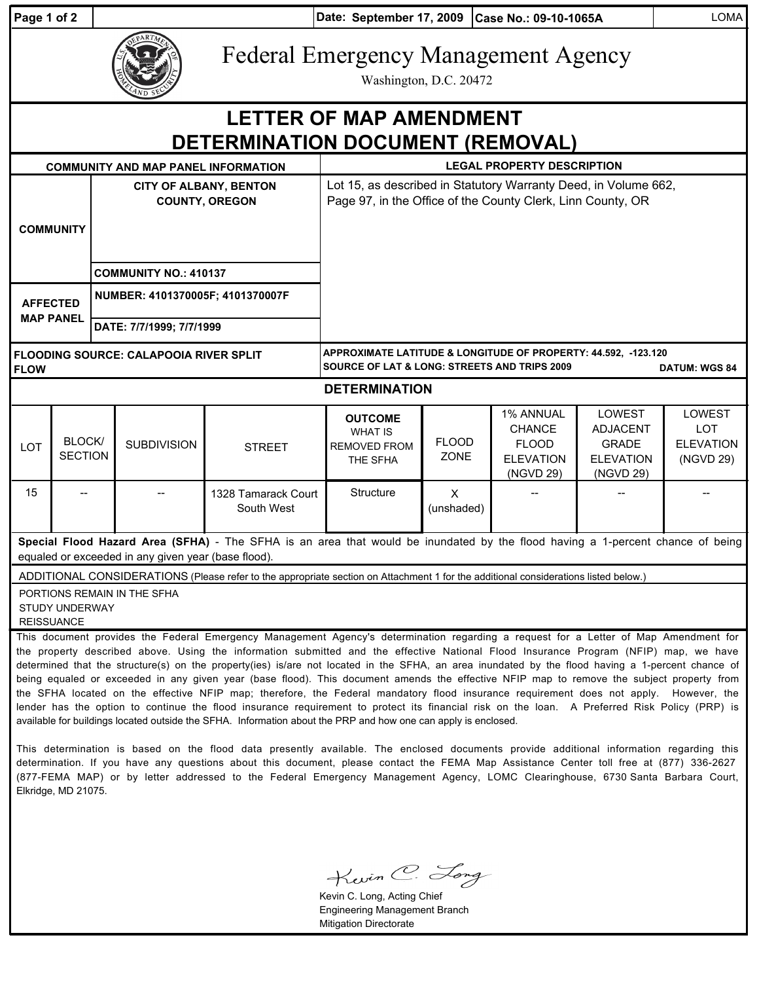| Page 1 of 2                                                                                                                                                                                                      |                          | Date: September 17, 2009 Case No.: 09-10-1065A         |                                               |                                                                                                                                                                                                                                                                                                                                                                                                                                                                                                                                                                                                                                                                                                                                                                                                                                                                                                                                                                                                                                                                                                                                       |                                                                                                                                                   |                             |                                                                                    |                                                                                   | <b>LOMA</b>                                           |
|------------------------------------------------------------------------------------------------------------------------------------------------------------------------------------------------------------------|--------------------------|--------------------------------------------------------|-----------------------------------------------|---------------------------------------------------------------------------------------------------------------------------------------------------------------------------------------------------------------------------------------------------------------------------------------------------------------------------------------------------------------------------------------------------------------------------------------------------------------------------------------------------------------------------------------------------------------------------------------------------------------------------------------------------------------------------------------------------------------------------------------------------------------------------------------------------------------------------------------------------------------------------------------------------------------------------------------------------------------------------------------------------------------------------------------------------------------------------------------------------------------------------------------|---------------------------------------------------------------------------------------------------------------------------------------------------|-----------------------------|------------------------------------------------------------------------------------|-----------------------------------------------------------------------------------|-------------------------------------------------------|
|                                                                                                                                                                                                                  |                          |                                                        |                                               |                                                                                                                                                                                                                                                                                                                                                                                                                                                                                                                                                                                                                                                                                                                                                                                                                                                                                                                                                                                                                                                                                                                                       | <b>Federal Emergency Management Agency</b><br>Washington, D.C. 20472                                                                              |                             |                                                                                    |                                                                                   |                                                       |
| <b>LETTER OF MAP AMENDMENT</b><br>DETERMINATION DOCUMENT (REMOVAL)                                                                                                                                               |                          |                                                        |                                               |                                                                                                                                                                                                                                                                                                                                                                                                                                                                                                                                                                                                                                                                                                                                                                                                                                                                                                                                                                                                                                                                                                                                       |                                                                                                                                                   |                             |                                                                                    |                                                                                   |                                                       |
|                                                                                                                                                                                                                  |                          |                                                        | <b>COMMUNITY AND MAP PANEL INFORMATION</b>    |                                                                                                                                                                                                                                                                                                                                                                                                                                                                                                                                                                                                                                                                                                                                                                                                                                                                                                                                                                                                                                                                                                                                       | <b>LEGAL PROPERTY DESCRIPTION</b>                                                                                                                 |                             |                                                                                    |                                                                                   |                                                       |
| <b>COMMUNITY</b>                                                                                                                                                                                                 |                          | <b>CITY OF ALBANY, BENTON</b><br><b>COUNTY, OREGON</b> |                                               |                                                                                                                                                                                                                                                                                                                                                                                                                                                                                                                                                                                                                                                                                                                                                                                                                                                                                                                                                                                                                                                                                                                                       | Lot 15, as described in Statutory Warranty Deed, in Volume 662,<br>Page 97, in the Office of the County Clerk, Linn County, OR                    |                             |                                                                                    |                                                                                   |                                                       |
|                                                                                                                                                                                                                  |                          |                                                        | <b>COMMUNITY NO.: 410137</b>                  |                                                                                                                                                                                                                                                                                                                                                                                                                                                                                                                                                                                                                                                                                                                                                                                                                                                                                                                                                                                                                                                                                                                                       |                                                                                                                                                   |                             |                                                                                    |                                                                                   |                                                       |
| <b>AFFECTED</b><br><b>MAP PANEL</b>                                                                                                                                                                              |                          | NUMBER: 4101370005F; 4101370007F                       |                                               |                                                                                                                                                                                                                                                                                                                                                                                                                                                                                                                                                                                                                                                                                                                                                                                                                                                                                                                                                                                                                                                                                                                                       |                                                                                                                                                   |                             |                                                                                    |                                                                                   |                                                       |
|                                                                                                                                                                                                                  |                          |                                                        | DATE: 7/7/1999; 7/7/1999                      |                                                                                                                                                                                                                                                                                                                                                                                                                                                                                                                                                                                                                                                                                                                                                                                                                                                                                                                                                                                                                                                                                                                                       |                                                                                                                                                   |                             |                                                                                    |                                                                                   |                                                       |
| <b>FLOW</b>                                                                                                                                                                                                      |                          |                                                        | <b>FLOODING SOURCE: CALAPOOIA RIVER SPLIT</b> |                                                                                                                                                                                                                                                                                                                                                                                                                                                                                                                                                                                                                                                                                                                                                                                                                                                                                                                                                                                                                                                                                                                                       | APPROXIMATE LATITUDE & LONGITUDE OF PROPERTY: 44.592, -123.120<br><b>SOURCE OF LAT &amp; LONG: STREETS AND TRIPS 2009</b><br><b>DATUM: WGS 84</b> |                             |                                                                                    |                                                                                   |                                                       |
| <b>DETERMINATION</b>                                                                                                                                                                                             |                          |                                                        |                                               |                                                                                                                                                                                                                                                                                                                                                                                                                                                                                                                                                                                                                                                                                                                                                                                                                                                                                                                                                                                                                                                                                                                                       |                                                                                                                                                   |                             |                                                                                    |                                                                                   |                                                       |
| LOT                                                                                                                                                                                                              | BLOCK/<br><b>SECTION</b> |                                                        | <b>SUBDIVISION</b>                            | <b>STREET</b>                                                                                                                                                                                                                                                                                                                                                                                                                                                                                                                                                                                                                                                                                                                                                                                                                                                                                                                                                                                                                                                                                                                         | <b>OUTCOME</b><br><b>WHAT IS</b><br><b>REMOVED FROM</b><br>THE SFHA                                                                               | <b>FLOOD</b><br><b>ZONE</b> | <b>1% ANNUAL</b><br><b>CHANCE</b><br><b>FLOOD</b><br><b>ELEVATION</b><br>(NGVD 29) | <b>LOWEST</b><br><b>ADJACENT</b><br><b>GRADE</b><br><b>ELEVATION</b><br>(NGVD 29) | LOWEST<br><b>LOT</b><br><b>ELEVATION</b><br>(NGVD 29) |
| 15                                                                                                                                                                                                               |                          |                                                        |                                               | 1328 Tamarack Court<br>South West                                                                                                                                                                                                                                                                                                                                                                                                                                                                                                                                                                                                                                                                                                                                                                                                                                                                                                                                                                                                                                                                                                     | Structure                                                                                                                                         | $\times$<br>(unshaded)      |                                                                                    |                                                                                   |                                                       |
| Special Flood Hazard Area (SFHA) - The SFHA is an area that would be inundated by the flood having a 1-percent chance of being<br>equaled or exceeded in any given year (base flood).                            |                          |                                                        |                                               |                                                                                                                                                                                                                                                                                                                                                                                                                                                                                                                                                                                                                                                                                                                                                                                                                                                                                                                                                                                                                                                                                                                                       |                                                                                                                                                   |                             |                                                                                    |                                                                                   |                                                       |
| ADDITIONAL CONSIDERATIONS (Please refer to the appropriate section on Attachment 1 for the additional considerations listed below.)<br>PORTIONS REMAIN IN THE SFHA<br><b>STUDY UNDERWAY</b><br><b>REISSUANCE</b> |                          |                                                        |                                               |                                                                                                                                                                                                                                                                                                                                                                                                                                                                                                                                                                                                                                                                                                                                                                                                                                                                                                                                                                                                                                                                                                                                       |                                                                                                                                                   |                             |                                                                                    |                                                                                   |                                                       |
|                                                                                                                                                                                                                  |                          |                                                        |                                               | This document provides the Federal Emergency Management Agency's determination regarding a request for a Letter of Map Amendment for<br>the property described above. Using the information submitted and the effective National Flood Insurance Program (NFIP) map, we have<br>determined that the structure(s) on the property(ies) is/are not located in the SFHA, an area inundated by the flood having a 1-percent chance of<br>being equaled or exceeded in any given year (base flood). This document amends the effective NFIP map to remove the subject property from<br>the SFHA located on the effective NFIP map; therefore, the Federal mandatory flood insurance requirement does not apply. However, the<br>lender has the option to continue the flood insurance requirement to protect its financial risk on the loan. A Preferred Risk Policy (PRP) is<br>available for buildings located outside the SFHA. Information about the PRP and how one can apply is enclosed.<br>This determination is based on the flood data presently available. The enclosed documents provide additional information regarding this |                                                                                                                                                   |                             |                                                                                    |                                                                                   |                                                       |

determination. If you have any questions about this document, please contact the FEMA Map Assistance Center toll free at (877) 336-2627 (877-FEMA MAP) or by letter addressed to the Federal Emergency Management Agency, LOMC Clearinghouse, 6730 Santa Barbara Court, Elkridge, MD 21075.

Kevin C. Long

Kevin C. Long, Acting Chief Engineering Management Branch Mitigation Directorate